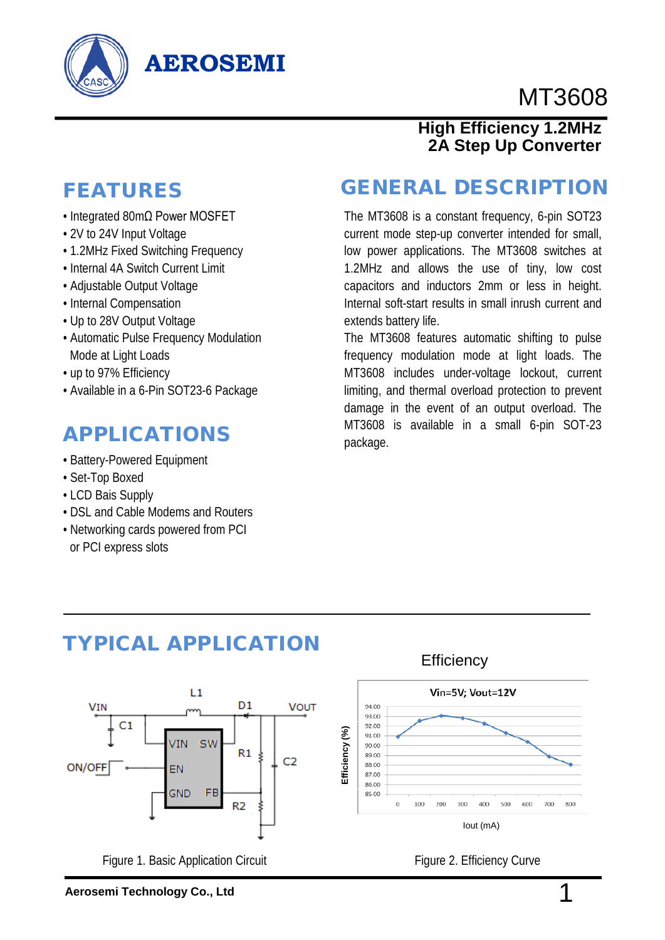

# MT3608

# FEATURES

• Integrated 80mΩ Power MOSFET

**AEROSEMI**

- 2V to 24V Input Voltage
- 1.2MHz Fixed Switching Frequency
- Internal 4A Switch Current Limit
- Adjustable Output Voltage
- Internal Compensation
- Up to 28V Output Voltage
- Automatic Pulse Frequency Modulation Mode at Light Loads
- up to 97% Efficiency
- Available in a 6-Pin SOT23-6 Package

## APPLICATIONS

- Battery-Powered Equipment
- Set-Top Boxed
- LCD Bais Supply
- DSL and Cable Modems and Routers
- Networking cards powered from PCI or PCI express slots

#### GENERAL DESCRIPTION

**High Efficiency 1.2MHz 2A Step Up Converter**

The MT3608 is a constant frequency, 6-pin SOT23 current mode step-up converter intended for small, low power applications. The MT3608 switches at 1.2MHz and allows the use of tiny, low cost capacitors and inductors 2mm or less in height. Internal soft-start results in small inrush current and extends battery life.

The MT3608 features automatic shifting to pulse frequency modulation mode at light loads. The MT3608 includes under-voltage lockout, current limiting, and thermal overload protection to prevent damage in the event of an output overload. The MT3608 is available in a small 6-pin SOT-23 package.



Figure 1. Basic Application Circuit

TYPICAL APPLICATION

# **Aerosemi Technology Co., Ltd** 1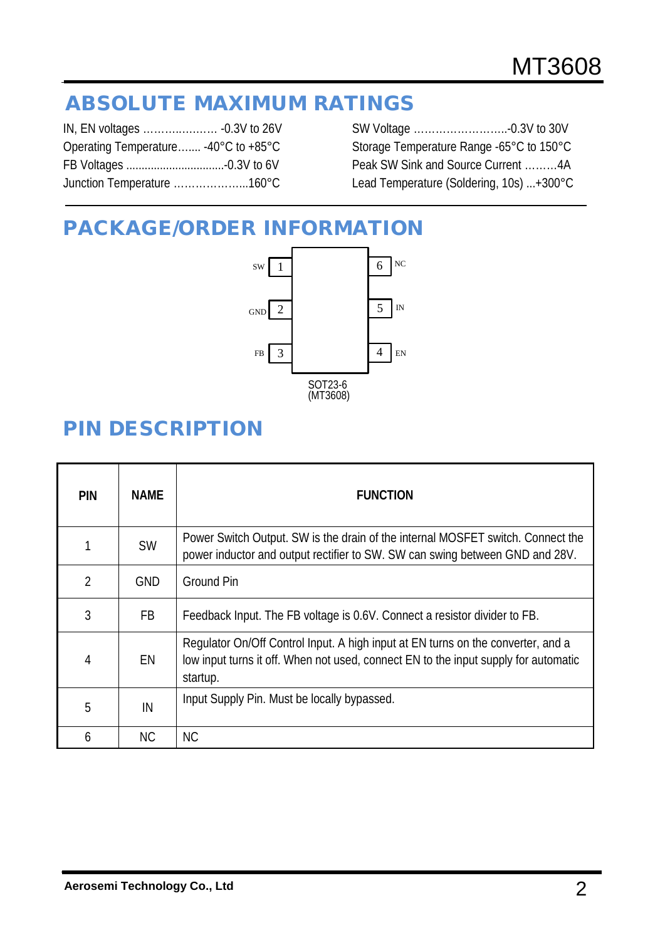# ABSOLUTE MAXIMUM RATINGS

| Operating Temperature -40°C to +85°C |
|--------------------------------------|
|                                      |
| Junction Temperature 160°C           |
|                                      |

SW Voltage ……………………..-0.3V to 30V Storage Temperature Range -65°C to 150°C Peak SW Sink and Source Current ………4A Lead Temperature (Soldering, 10s) ...+300°C

# PACKAGE/ORDER INFORMATION



# PIN DESCRIPTION

| <b>PIN</b>     | <b>NAME</b> | <b>FUNCTION</b>                                                                                                                                                                     |
|----------------|-------------|-------------------------------------------------------------------------------------------------------------------------------------------------------------------------------------|
|                | <b>SW</b>   | Power Switch Output. SW is the drain of the internal MOSFET switch. Connect the<br>power inductor and output rectifier to SW. SW can swing between GND and 28V.                     |
| $\overline{2}$ | <b>GND</b>  | <b>Ground Pin</b>                                                                                                                                                                   |
| 3              | FB          | Feedback Input. The FB voltage is 0.6V. Connect a resistor divider to FB.                                                                                                           |
| 4              | EN          | Regulator On/Off Control Input. A high input at EN turns on the converter, and a<br>low input turns it off. When not used, connect EN to the input supply for automatic<br>startup. |
| 5              | IN          | Input Supply Pin. Must be locally bypassed.                                                                                                                                         |
| 6              | <b>NC</b>   | <b>NC</b>                                                                                                                                                                           |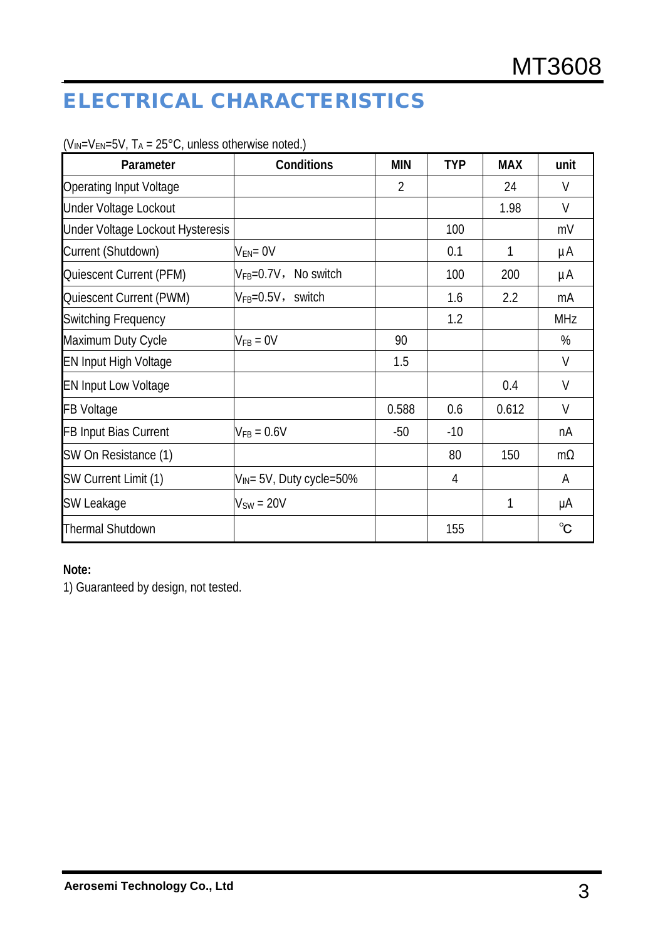# ELECTRICAL CHARACTERISTICS

| Parameter                        | Conditions                    | <b>MIN</b>     | <b>TYP</b> | <b>MAX</b> | unit         |
|----------------------------------|-------------------------------|----------------|------------|------------|--------------|
| <b>Operating Input Voltage</b>   |                               | $\overline{2}$ |            | 24         | V            |
| <b>Under Voltage Lockout</b>     |                               |                |            | 1.98       | V            |
| Under Voltage Lockout Hysteresis |                               |                | 100        |            | mV           |
| Current (Shutdown)               | $V_{EN} = 0V$                 |                | 0.1        | 1          | μA           |
| Quiescent Current (PFM)          | $V_{FB} = 0.7V$ , No switch   |                | 100        | 200        | μA           |
| Quiescent Current (PWM)          | $V_{FB} = 0.5V$ , switch      |                | 1.6        | 2.2        | mA           |
| <b>Switching Frequency</b>       |                               |                | 1.2        |            | <b>MHz</b>   |
| Maximum Duty Cycle               | $V_{FB} = 0V$                 | 90             |            |            | %            |
| <b>EN Input High Voltage</b>     |                               | 1.5            |            |            | V            |
| <b>EN Input Low Voltage</b>      |                               |                |            | 0.4        | V            |
| <b>FB Voltage</b>                |                               | 0.588          | 0.6        | 0.612      | $\vee$       |
| <b>FB Input Bias Current</b>     | $V_{FB} = 0.6V$               | $-50$          | $-10$      |            | nA           |
| SW On Resistance (1)             |                               |                | 80         | 150        | $m\Omega$    |
| SW Current Limit (1)             | $V_{IN}$ = 5V, Duty cycle=50% |                | 4          |            | A            |
| SW Leakage                       | $V_{SW} = 20V$                |                |            | 1          | μA           |
| <b>Thermal Shutdown</b>          |                               |                | 155        |            | $^{\circ}$ C |

 $(V_{IN}=V_{EN}=5V, T_A = 25°C$ , unless otherwise noted.)

#### **Note:**

1) Guaranteed by design, not tested.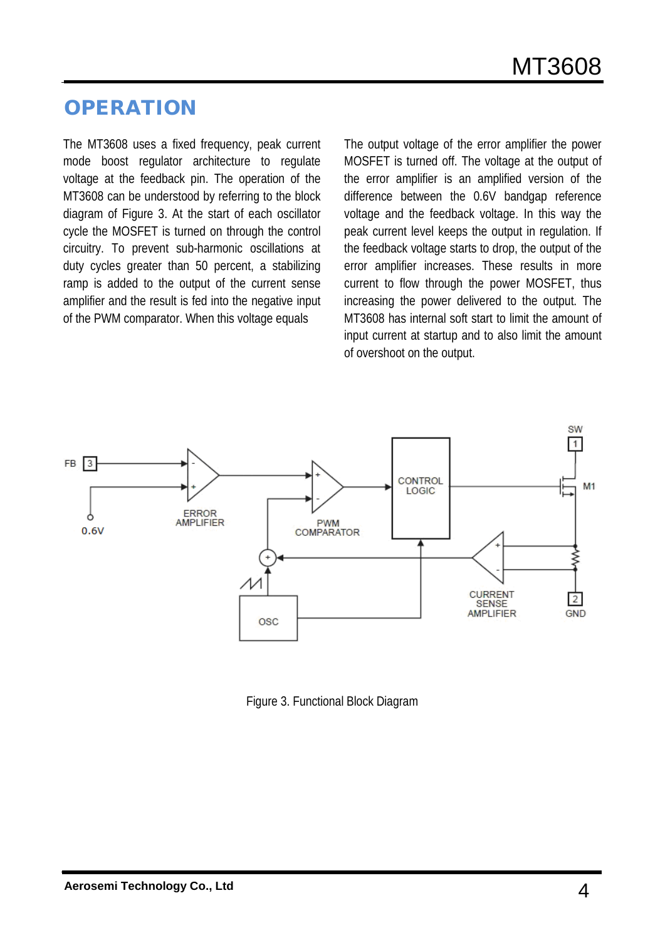# **OPERATION**

The MT3608 uses a fixed frequency, peak current mode boost regulator architecture to regulate voltage at the feedback pin. The operation of the MT3608 can be understood by referring to the block diagram of Figure 3. At the start of each oscillator cycle the MOSFET is turned on through the control circuitry. To prevent sub-harmonic oscillations at duty cycles greater than 50 percent, a stabilizing ramp is added to the output of the current sense amplifier and the result is fed into the negative input of the PWM comparator. When this voltage equals

The output voltage of the error amplifier the power MOSFET is turned off. The voltage at the output of the error amplifier is an amplified version of the difference between the 0.6V bandgap reference voltage and the feedback voltage. In this way the peak current level keeps the output in regulation. If the feedback voltage starts to drop, the output of the error amplifier increases. These results in more current to flow through the power MOSFET, thus increasing the power delivered to the output. The MT3608 has internal soft start to limit the amount of input current at startup and to also limit the amount of overshoot on the output.



Figure 3. Functional Block Diagram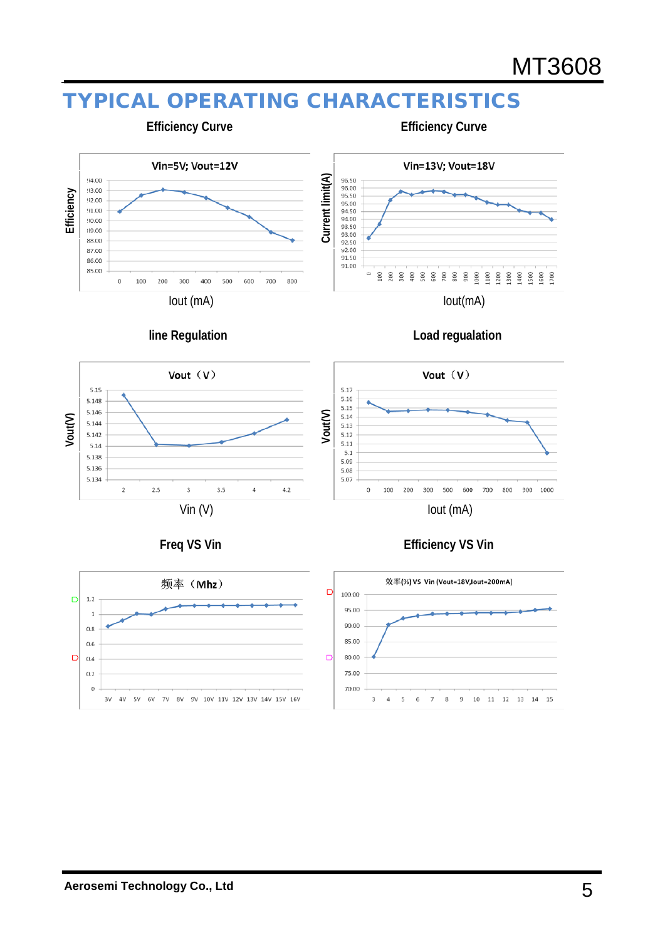# TYPICAL OPERATING CHARACTERISTICS



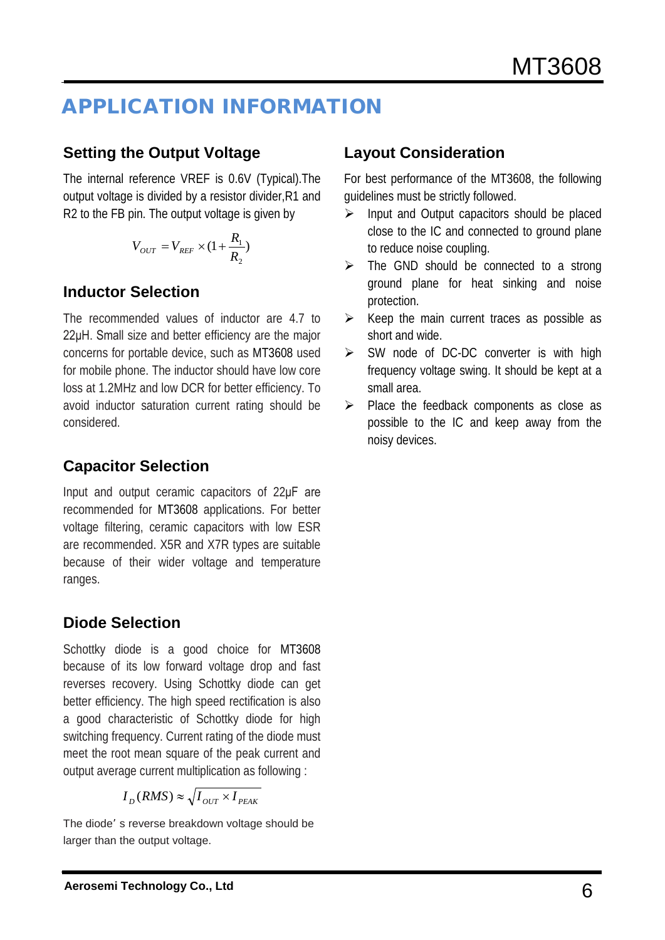# APPLICATION INFORMATION

#### **Setting the Output Voltage**

The internal reference VREF is 0.6V (Typical).The output voltage is divided by a resistor divider,R1 and R2 to the FB pin. The output voltage is given by

$$
V_{OUT} = V_{REF} \times (1 + \frac{R_1}{R_2})
$$

#### **Inductor Selection**

The recommended values of inductor are 4.7 to 22μH. Small size and better efficiency are the major concerns for portable device, such as MT3608 used for mobile phone. The inductor should have low core loss at 1.2MHz and low DCR for better efficiency. To avoid inductor saturation current rating should be considered.

#### **Capacitor Selection**

Input and output ceramic capacitors of 22μF are recommended for MT3608 applications. For better voltage filtering, ceramic capacitors with low ESR are recommended. X5R and X7R types are suitable because of their wider voltage and temperature ranges.

#### **Diode Selection**

Schottky diode is a good choice for MT3608 because of its low forward voltage drop and fast reverses recovery. Using Schottky diode can get better efficiency. The high speed rectification is also a good characteristic of Schottky diode for high switching frequency. Current rating of the diode must meet the root mean square of the peak current and output average current multiplication as following :

$$
I_D(RMS) \approx \sqrt{I_{OUT} \times I_{PEAK}}
$$

The diode' s reverse breakdown voltage should be larger than the output voltage.

#### **Layout Consideration**

For best performance of the MT3608, the following guidelines must be strictly followed.

- $\triangleright$  Input and Output capacitors should be placed close to the IC and connected to ground plane to reduce noise coupling.
- $\triangleright$  The GND should be connected to a strong ground plane for heat sinking and noise protection.
- $\triangleright$  Keep the main current traces as possible as short and wide.
- $\triangleright$  SW node of DC-DC converter is with high frequency voltage swing. It should be kept at a small area.
- $\triangleright$  Place the feedback components as close as possible to the IC and keep away from the noisy devices.